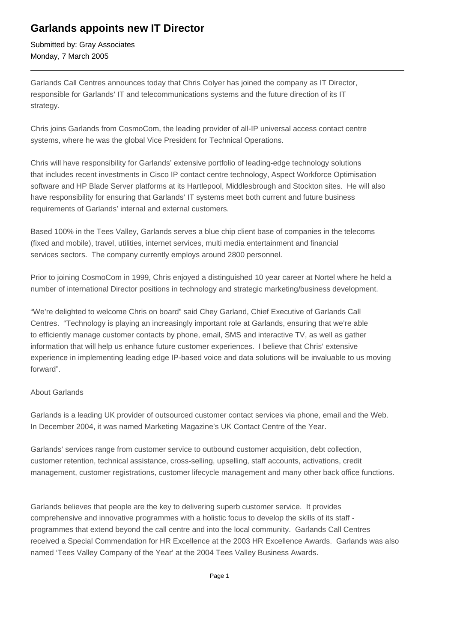## **Garlands appoints new IT Director**

Submitted by: Gray Associates Monday, 7 March 2005

Garlands Call Centres announces today that Chris Colyer has joined the company as IT Director, responsible for Garlands' IT and telecommunications systems and the future direction of its IT strategy.

Chris joins Garlands from CosmoCom, the leading provider of all-IP universal access contact centre systems, where he was the global Vice President for Technical Operations.

Chris will have responsibility for Garlands' extensive portfolio of leading-edge technology solutions that includes recent investments in Cisco IP contact centre technology, Aspect Workforce Optimisation software and HP Blade Server platforms at its Hartlepool, Middlesbrough and Stockton sites. He will also have responsibility for ensuring that Garlands' IT systems meet both current and future business requirements of Garlands' internal and external customers.

Based 100% in the Tees Valley, Garlands serves a blue chip client base of companies in the telecoms (fixed and mobile), travel, utilities, internet services, multi media entertainment and financial services sectors. The company currently employs around 2800 personnel.

Prior to joining CosmoCom in 1999, Chris enjoyed a distinguished 10 year career at Nortel where he held a number of international Director positions in technology and strategic marketing/business development. 

"We're delighted to welcome Chris on board" said Chey Garland, Chief Executive of Garlands Call Centres. "Technology is playing an increasingly important role at Garlands, ensuring that we're able to efficiently manage customer contacts by phone, email, SMS and interactive TV, as well as gather information that will help us enhance future customer experiences. I believe that Chris' extensive experience in implementing leading edge IP-based voice and data solutions will be invaluable to us moving forward".

## About Garlands

Garlands is a leading UK provider of outsourced customer contact services via phone, email and the Web. In December 2004, it was named Marketing Magazine's UK Contact Centre of the Year.

Garlands' services range from customer service to outbound customer acquisition, debt collection, customer retention, technical assistance, cross-selling, upselling, staff accounts, activations, credit management, customer registrations, customer lifecycle management and many other back office functions.

Garlands believes that people are the key to delivering superb customer service. It provides comprehensive and innovative programmes with a holistic focus to develop the skills of its staff programmes that extend beyond the call centre and into the local community. Garlands Call Centres received a Special Commendation for HR Excellence at the 2003 HR Excellence Awards. Garlands was also named 'Tees Valley Company of the Year' at the 2004 Tees Valley Business Awards.